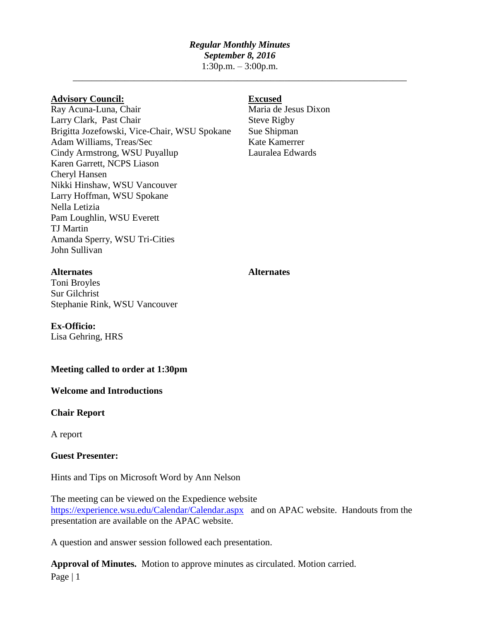# *Regular Monthly Minutes*

*September 8, 2016*

1:30p.m. – 3:00p.m. \_\_\_\_\_\_\_\_\_\_\_\_\_\_\_\_\_\_\_\_\_\_\_\_\_\_\_\_\_\_\_\_\_\_\_\_\_\_\_\_\_\_\_\_\_\_\_\_\_\_\_\_\_\_\_\_\_\_\_\_\_\_\_\_\_\_\_\_\_\_\_

# **Advisory Council: Excused**

Ray Acuna-Luna, Chair Maria de Jesus Dixon Larry Clark, Past Chair Steve Rigby Brigitta Jozefowski, Vice-Chair, WSU Spokane Sue Shipman Adam Williams, Treas/Sec Kate Kamerrer Cindy Armstrong, WSU Puyallup Lauralea Edwards Karen Garrett, NCPS Liason Cheryl Hansen Nikki Hinshaw, WSU Vancouver Larry Hoffman, WSU Spokane Nella Letizia Pam Loughlin, WSU Everett TJ Martin Amanda Sperry, WSU Tri-Cities John Sullivan

Toni Broyles Sur Gilchrist Stephanie Rink, WSU Vancouver

**Ex-Officio:**

Lisa Gehring, HRS

# **Meeting called to order at 1:30pm**

### **Welcome and Introductions**

### **Chair Report**

A report

## **Guest Presenter:**

Hints and Tips on Microsoft Word by Ann Nelson

The meeting can be viewed on the Expedience website <https://experience.wsu.edu/Calendar/Calendar.aspx>and on APAC website. Handouts from the presentation are available on the APAC website.

A question and answer session followed each presentation.

Page | 1 **Approval of Minutes.** Motion to approve minutes as circulated. Motion carried.

### **Alternates Alternates**